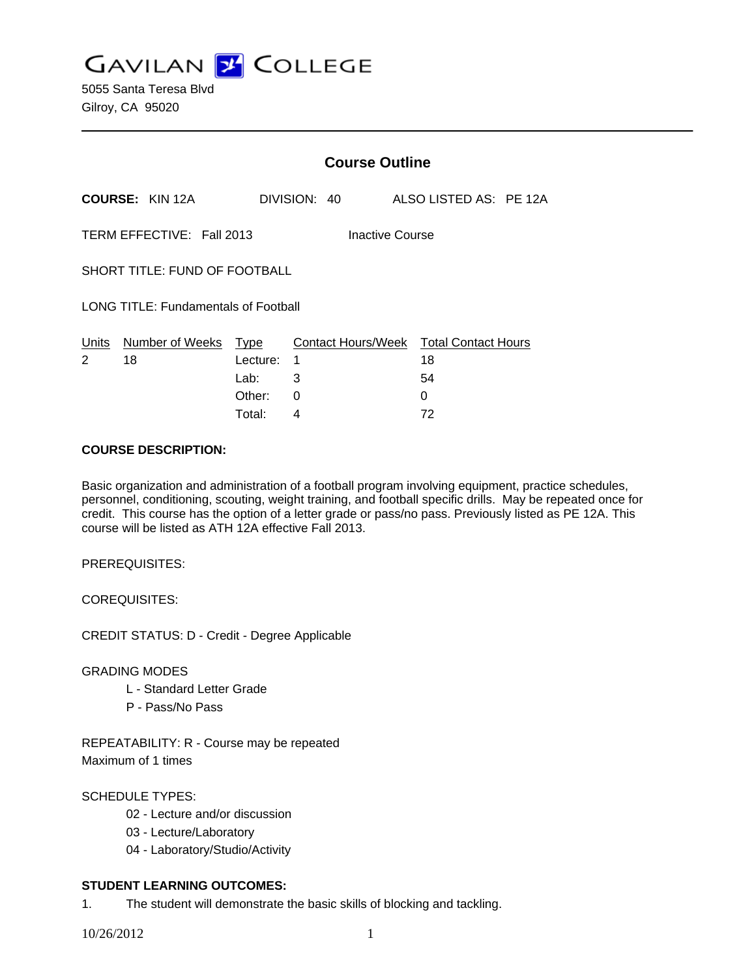**GAVILAN J COLLEGE** 

|                                              |                        | <b>Course Outline</b>    |              |  |                    |  |                                        |  |  |
|----------------------------------------------|------------------------|--------------------------|--------------|--|--------------------|--|----------------------------------------|--|--|
|                                              | <b>COURSE: KIN 12A</b> |                          | DIVISION: 40 |  |                    |  | ALSO LISTED AS: PE 12A                 |  |  |
| TERM EFFECTIVE: Fall 2013<br>Inactive Course |                        |                          |              |  |                    |  |                                        |  |  |
| SHORT TITLE: FUND OF FOOTBALL                |                        |                          |              |  |                    |  |                                        |  |  |
| <b>LONG TITLE: Fundamentals of Football</b>  |                        |                          |              |  |                    |  |                                        |  |  |
| Units<br>2                                   | Number of Weeks<br>18  | Type<br>Lecture:<br>Lab: | 1<br>3       |  | Contact Hours/Week |  | <b>Total Contact Hours</b><br>18<br>54 |  |  |
|                                              |                        | Other:                   | 0            |  |                    |  | 0                                      |  |  |

## **COURSE DESCRIPTION:**

Basic organization and administration of a football program involving equipment, practice schedules, personnel, conditioning, scouting, weight training, and football specific drills. May be repeated once for credit. This course has the option of a letter grade or pass/no pass. Previously listed as PE 12A. This course will be listed as ATH 12A effective Fall 2013.

Total: 4 72

PREREQUISITES:

COREQUISITES:

CREDIT STATUS: D - Credit - Degree Applicable

GRADING MODES

- L Standard Letter Grade
- P Pass/No Pass

REPEATABILITY: R - Course may be repeated Maximum of 1 times

# SCHEDULE TYPES:

- 02 Lecture and/or discussion
- 03 Lecture/Laboratory
- 04 Laboratory/Studio/Activity

## **STUDENT LEARNING OUTCOMES:**

1. The student will demonstrate the basic skills of blocking and tackling.

10/26/2012 1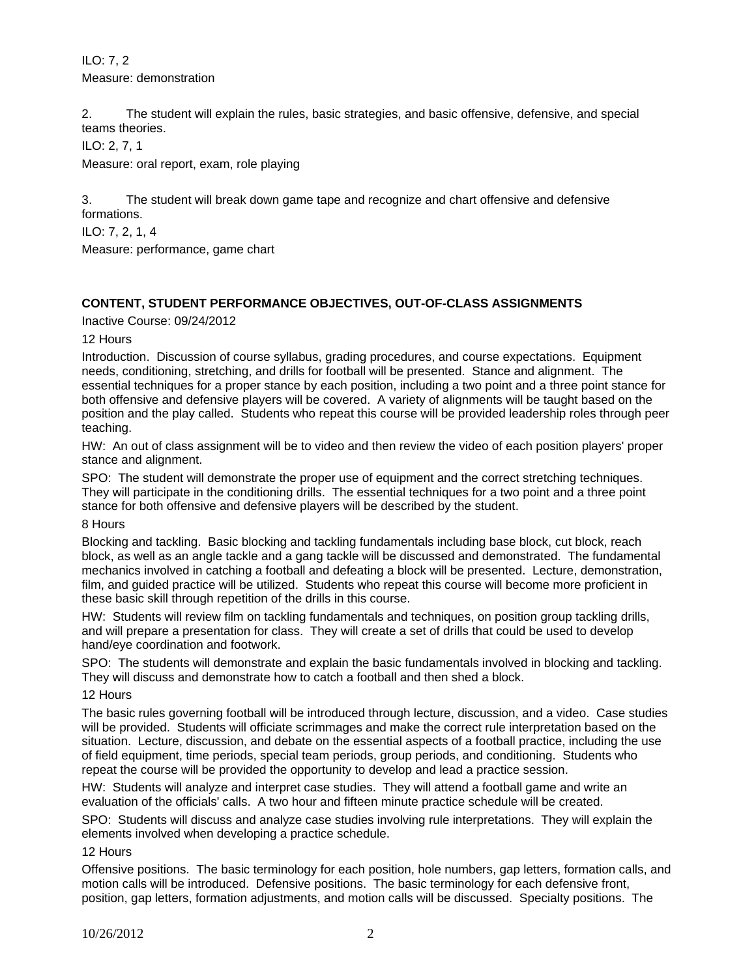ILO: 7, 2 Measure: demonstration

2. The student will explain the rules, basic strategies, and basic offensive, defensive, and special teams theories.

ILO: 2, 7, 1

Measure: oral report, exam, role playing

3. The student will break down game tape and recognize and chart offensive and defensive formations.

ILO: 7, 2, 1, 4

Measure: performance, game chart

# **CONTENT, STUDENT PERFORMANCE OBJECTIVES, OUT-OF-CLASS ASSIGNMENTS**

Inactive Course: 09/24/2012

12 Hours

Introduction. Discussion of course syllabus, grading procedures, and course expectations. Equipment needs, conditioning, stretching, and drills for football will be presented. Stance and alignment. The essential techniques for a proper stance by each position, including a two point and a three point stance for both offensive and defensive players will be covered. A variety of alignments will be taught based on the position and the play called. Students who repeat this course will be provided leadership roles through peer teaching.

HW: An out of class assignment will be to video and then review the video of each position players' proper stance and alignment.

SPO: The student will demonstrate the proper use of equipment and the correct stretching techniques. They will participate in the conditioning drills. The essential techniques for a two point and a three point stance for both offensive and defensive players will be described by the student.

8 Hours

Blocking and tackling. Basic blocking and tackling fundamentals including base block, cut block, reach block, as well as an angle tackle and a gang tackle will be discussed and demonstrated. The fundamental mechanics involved in catching a football and defeating a block will be presented. Lecture, demonstration, film, and guided practice will be utilized. Students who repeat this course will become more proficient in these basic skill through repetition of the drills in this course.

HW: Students will review film on tackling fundamentals and techniques, on position group tackling drills, and will prepare a presentation for class. They will create a set of drills that could be used to develop hand/eye coordination and footwork.

SPO: The students will demonstrate and explain the basic fundamentals involved in blocking and tackling. They will discuss and demonstrate how to catch a football and then shed a block.

12 Hours

The basic rules governing football will be introduced through lecture, discussion, and a video. Case studies will be provided. Students will officiate scrimmages and make the correct rule interpretation based on the situation. Lecture, discussion, and debate on the essential aspects of a football practice, including the use of field equipment, time periods, special team periods, group periods, and conditioning. Students who repeat the course will be provided the opportunity to develop and lead a practice session.

HW: Students will analyze and interpret case studies. They will attend a football game and write an evaluation of the officials' calls. A two hour and fifteen minute practice schedule will be created.

SPO: Students will discuss and analyze case studies involving rule interpretations. They will explain the elements involved when developing a practice schedule.

12 Hours

Offensive positions. The basic terminology for each position, hole numbers, gap letters, formation calls, and motion calls will be introduced. Defensive positions. The basic terminology for each defensive front, position, gap letters, formation adjustments, and motion calls will be discussed. Specialty positions. The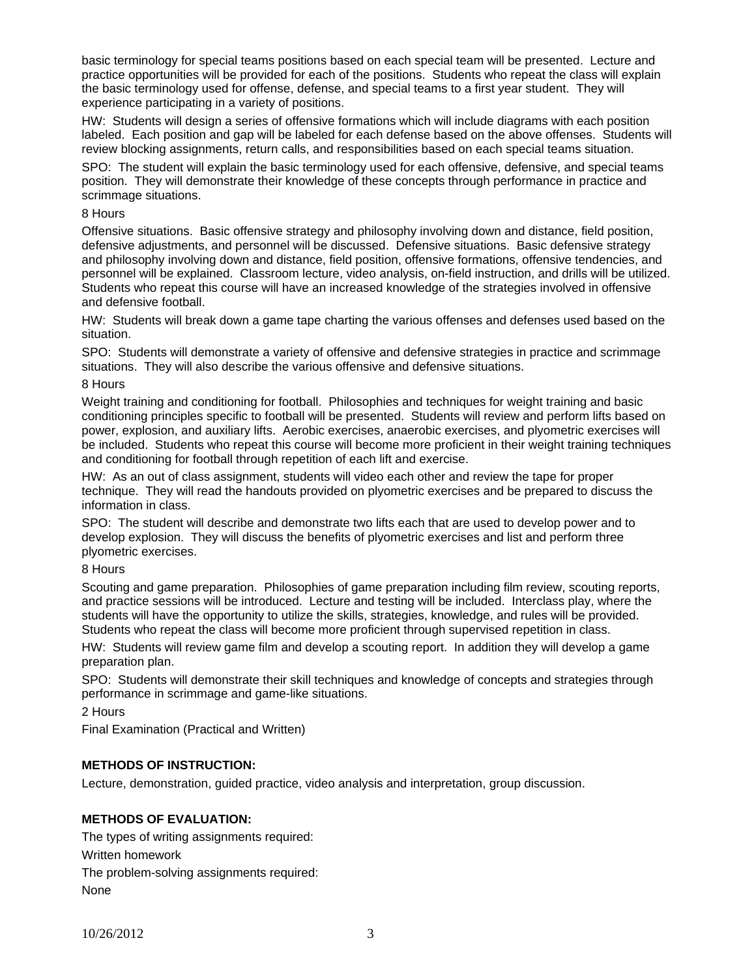basic terminology for special teams positions based on each special team will be presented. Lecture and practice opportunities will be provided for each of the positions. Students who repeat the class will explain the basic terminology used for offense, defense, and special teams to a first year student. They will experience participating in a variety of positions.

HW: Students will design a series of offensive formations which will include diagrams with each position labeled. Each position and gap will be labeled for each defense based on the above offenses. Students will review blocking assignments, return calls, and responsibilities based on each special teams situation.

SPO: The student will explain the basic terminology used for each offensive, defensive, and special teams position. They will demonstrate their knowledge of these concepts through performance in practice and scrimmage situations.

### 8 Hours

Offensive situations. Basic offensive strategy and philosophy involving down and distance, field position, defensive adjustments, and personnel will be discussed. Defensive situations. Basic defensive strategy and philosophy involving down and distance, field position, offensive formations, offensive tendencies, and personnel will be explained. Classroom lecture, video analysis, on-field instruction, and drills will be utilized. Students who repeat this course will have an increased knowledge of the strategies involved in offensive and defensive football.

HW: Students will break down a game tape charting the various offenses and defenses used based on the situation.

SPO: Students will demonstrate a variety of offensive and defensive strategies in practice and scrimmage situations. They will also describe the various offensive and defensive situations.

#### 8 Hours

Weight training and conditioning for football. Philosophies and techniques for weight training and basic conditioning principles specific to football will be presented. Students will review and perform lifts based on power, explosion, and auxiliary lifts. Aerobic exercises, anaerobic exercises, and plyometric exercises will be included. Students who repeat this course will become more proficient in their weight training techniques and conditioning for football through repetition of each lift and exercise.

HW: As an out of class assignment, students will video each other and review the tape for proper technique. They will read the handouts provided on plyometric exercises and be prepared to discuss the information in class.

SPO: The student will describe and demonstrate two lifts each that are used to develop power and to develop explosion. They will discuss the benefits of plyometric exercises and list and perform three plyometric exercises.

#### 8 Hours

Scouting and game preparation. Philosophies of game preparation including film review, scouting reports, and practice sessions will be introduced. Lecture and testing will be included. Interclass play, where the students will have the opportunity to utilize the skills, strategies, knowledge, and rules will be provided. Students who repeat the class will become more proficient through supervised repetition in class.

HW: Students will review game film and develop a scouting report. In addition they will develop a game preparation plan.

SPO: Students will demonstrate their skill techniques and knowledge of concepts and strategies through performance in scrimmage and game-like situations.

2 Hours

Final Examination (Practical and Written)

## **METHODS OF INSTRUCTION:**

Lecture, demonstration, guided practice, video analysis and interpretation, group discussion.

## **METHODS OF EVALUATION:**

The types of writing assignments required: Written homework The problem-solving assignments required: None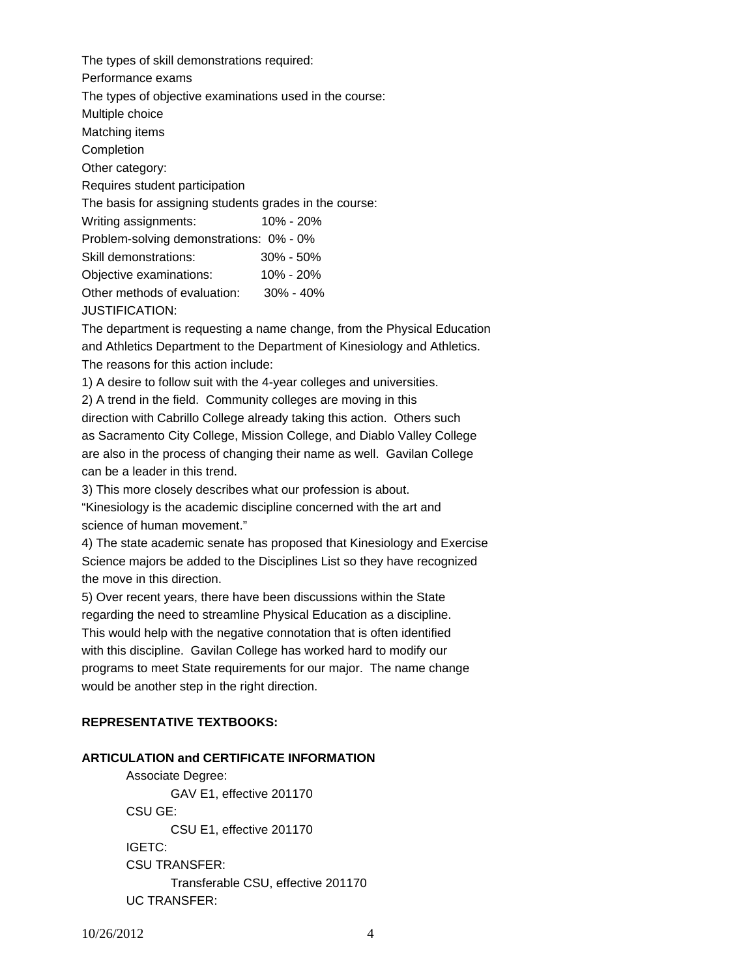The types of skill demonstrations required: Performance exams The types of objective examinations used in the course: Multiple choice Matching items Completion Other category: Requires student participation The basis for assigning students grades in the course: Writing assignments: 10% - 20% Problem-solving demonstrations: 0% - 0% Skill demonstrations: 30% - 50% Objective examinations: 10% - 20% Other methods of evaluation: 30% - 40% JUSTIFICATION:

The department is requesting a name change, from the Physical Education and Athletics Department to the Department of Kinesiology and Athletics. The reasons for this action include:

1) A desire to follow suit with the 4-year colleges and universities.

2) A trend in the field. Community colleges are moving in this direction with Cabrillo College already taking this action. Others such as Sacramento City College, Mission College, and Diablo Valley College are also in the process of changing their name as well. Gavilan College can be a leader in this trend.

3) This more closely describes what our profession is about.

"Kinesiology is the academic discipline concerned with the art and science of human movement."

4) The state academic senate has proposed that Kinesiology and Exercise Science majors be added to the Disciplines List so they have recognized the move in this direction.

5) Over recent years, there have been discussions within the State regarding the need to streamline Physical Education as a discipline. This would help with the negative connotation that is often identified with this discipline. Gavilan College has worked hard to modify our programs to meet State requirements for our major. The name change would be another step in the right direction.

## **REPRESENTATIVE TEXTBOOKS:**

#### **ARTICULATION and CERTIFICATE INFORMATION**

 Associate Degree: GAV E1, effective 201170 CSU GE: CSU E1, effective 201170 IGETC: CSU TRANSFER: Transferable CSU, effective 201170 UC TRANSFER: